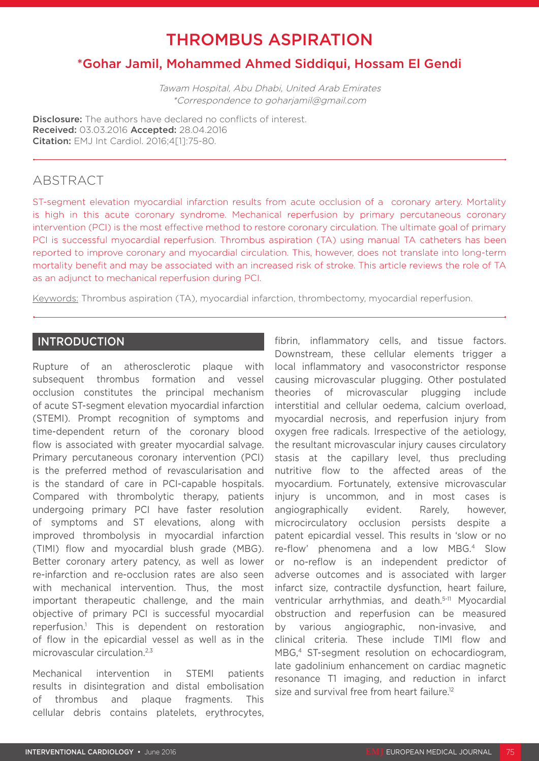# THROMBUS ASPIRATION

## \*Gohar Jamil, Mohammed Ahmed Siddiqui, Hossam El Gendi

Tawam Hospital, Abu Dhabi, United Arab Emirates \*Correspondence to goharjamil@gmail.com

Disclosure: The authors have declared no conflicts of interest. Received: 03.03.2016 Accepted: 28.04.2016 Citation: EMJ Int Cardiol. 2016;4[1]:75-80.

### ABSTRACT

ST-segment elevation myocardial infarction results from acute occlusion of a coronary artery. Mortality is high in this acute coronary syndrome. Mechanical reperfusion by primary percutaneous coronary intervention (PCI) is the most effective method to restore coronary circulation. The ultimate goal of primary PCI is successful myocardial reperfusion. Thrombus aspiration (TA) using manual TA catheters has been reported to improve coronary and myocardial circulation. This, however, does not translate into long-term mortality benefit and may be associated with an increased risk of stroke. This article reviews the role of TA as an adjunct to mechanical reperfusion during PCI.

Keywords: Thrombus aspiration (TA), myocardial infarction, thrombectomy, myocardial reperfusion.

#### INTRODUCTION

Rupture of an atherosclerotic plaque with subsequent thrombus formation and vessel occlusion constitutes the principal mechanism of acute ST-segment elevation myocardial infarction (STEMI). Prompt recognition of symptoms and time-dependent return of the coronary blood flow is associated with greater myocardial salvage. Primary percutaneous coronary intervention (PCI) is the preferred method of revascularisation and is the standard of care in PCI-capable hospitals. Compared with thrombolytic therapy, patients undergoing primary PCI have faster resolution of symptoms and ST elevations, along with improved thrombolysis in myocardial infarction (TIMI) flow and myocardial blush grade (MBG). Better coronary artery patency, as well as lower re-infarction and re-occlusion rates are also seen with mechanical intervention. Thus, the most important therapeutic challenge, and the main objective of primary PCI is successful myocardial reperfusion.1 This is dependent on restoration of flow in the epicardial vessel as well as in the microvascular circulation<sup>2,3</sup>

Mechanical intervention in STEMI patients results in disintegration and distal embolisation of thrombus and plaque fragments. This cellular debris contains platelets, erythrocytes,

fibrin, inflammatory cells, and tissue factors. Downstream, these cellular elements trigger a local inflammatory and vasoconstrictor response causing microvascular plugging. Other postulated theories of microvascular plugging include interstitial and cellular oedema, calcium overload, myocardial necrosis, and reperfusion injury from oxygen free radicals. Irrespective of the aetiology, the resultant microvascular injury causes circulatory stasis at the capillary level, thus precluding nutritive flow to the affected areas of the myocardium. Fortunately, extensive microvascular injury is uncommon, and in most cases is angiographically evident. Rarely, however, microcirculatory occlusion persists despite a patent epicardial vessel. This results in 'slow or no re-flow' phenomena and a low MBG.4 Slow or no-reflow is an independent predictor of adverse outcomes and is associated with larger infarct size, contractile dysfunction, heart failure, ventricular arrhythmias, and death.5-11 Myocardial obstruction and reperfusion can be measured by various angiographic, non-invasive, and clinical criteria. These include TIMI flow and MBG,<sup>4</sup> ST-segment resolution on echocardiogram, late gadolinium enhancement on cardiac magnetic resonance T1 imaging, and reduction in infarct size and survival free from heart failure.<sup>12</sup>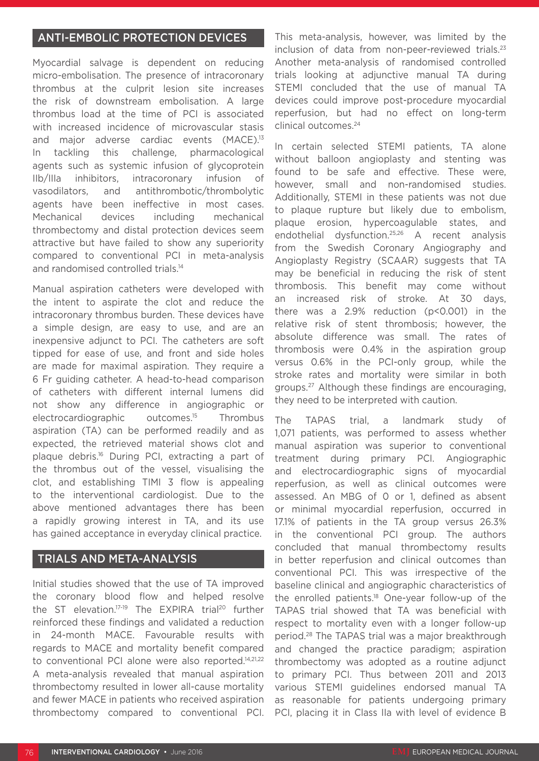#### ANTI-EMBOLIC PROTECTION DEVICES

Myocardial salvage is dependent on reducing micro-embolisation. The presence of intracoronary thrombus at the culprit lesion site increases the risk of downstream embolisation. A large thrombus load at the time of PCI is associated with increased incidence of microvascular stasis and major adverse cardiac events (MACE).<sup>13</sup> In tackling this challenge, pharmacological agents such as systemic infusion of glycoprotein IIb/IIIa inhibitors, intracoronary infusion of vasodilators, and antithrombotic/thrombolytic agents have been ineffective in most cases. Mechanical devices including mechanical thrombectomy and distal protection devices seem attractive but have failed to show any superiority compared to conventional PCI in meta-analysis and randomised controlled trials.<sup>14</sup>

Manual aspiration catheters were developed with the intent to aspirate the clot and reduce the intracoronary thrombus burden. These devices have a simple design, are easy to use, and are an inexpensive adjunct to PCI. The catheters are soft tipped for ease of use, and front and side holes are made for maximal aspiration. They require a 6 Fr guiding catheter. A head-to-head comparison of catheters with different internal lumens did not show any difference in angiographic or electrocardiographic outcomes.<sup>15</sup> Thrombus aspiration (TA) can be performed readily and as expected, the retrieved material shows clot and plaque debris.16 During PCI, extracting a part of the thrombus out of the vessel, visualising the clot, and establishing TIMI 3 flow is appealing to the interventional cardiologist. Due to the above mentioned advantages there has been a rapidly growing interest in TA, and its use has gained acceptance in everyday clinical practice.

#### TRIALS AND META-ANALYSIS

Initial studies showed that the use of TA improved the coronary blood flow and helped resolve the ST elevation.<sup>17-19</sup> The EXPIRA trial<sup>20</sup> further reinforced these findings and validated a reduction in 24-month MACE. Favourable results with regards to MACE and mortality benefit compared to conventional PCI alone were also reported.14,21,22 A meta-analysis revealed that manual aspiration thrombectomy resulted in lower all-cause mortality and fewer MACE in patients who received aspiration thrombectomy compared to conventional PCI.

This meta-analysis, however, was limited by the inclusion of data from non-peer-reviewed trials.<sup>23</sup> Another meta-analysis of randomised controlled trials looking at adjunctive manual TA during STEMI concluded that the use of manual TA devices could improve post-procedure myocardial reperfusion, but had no effect on long-term clinical outcomes.24

In certain selected STEMI patients, TA alone without balloon angioplasty and stenting was found to be safe and effective. These were, however, small and non-randomised studies. Additionally, STEMI in these patients was not due to plaque rupture but likely due to embolism, plaque erosion, hypercoagulable states, and endothelial dysfunction.25,26 A recent analysis from the Swedish Coronary Angiography and Angioplasty Registry (SCAAR) suggests that TA may be beneficial in reducing the risk of stent thrombosis. This benefit may come without an increased risk of stroke. At 30 days, there was a 2.9% reduction (p<0.001) in the relative risk of stent thrombosis; however, the absolute difference was small. The rates of thrombosis were 0.4% in the aspiration group versus 0.6% in the PCI-only group, while the stroke rates and mortality were similar in both groups.27 Although these findings are encouraging, they need to be interpreted with caution.

The TAPAS trial, a landmark study of 1,071 patients, was performed to assess whether manual aspiration was superior to conventional treatment during primary PCI. Angiographic and electrocardiographic signs of myocardial reperfusion, as well as clinical outcomes were assessed. An MBG of 0 or 1, defined as absent or minimal myocardial reperfusion, occurred in 17.1% of patients in the TA group versus 26.3% in the conventional PCI group. The authors concluded that manual thrombectomy results in better reperfusion and clinical outcomes than conventional PCI. This was irrespective of the baseline clinical and angiographic characteristics of the enrolled patients.18 One-year follow-up of the TAPAS trial showed that TA was beneficial with respect to mortality even with a longer follow-up period.28 The TAPAS trial was a major breakthrough and changed the practice paradigm; aspiration thrombectomy was adopted as a routine adjunct to primary PCI. Thus between 2011 and 2013 various STEMI guidelines endorsed manual TA as reasonable for patients undergoing primary PCI, placing it in Class IIa with level of evidence B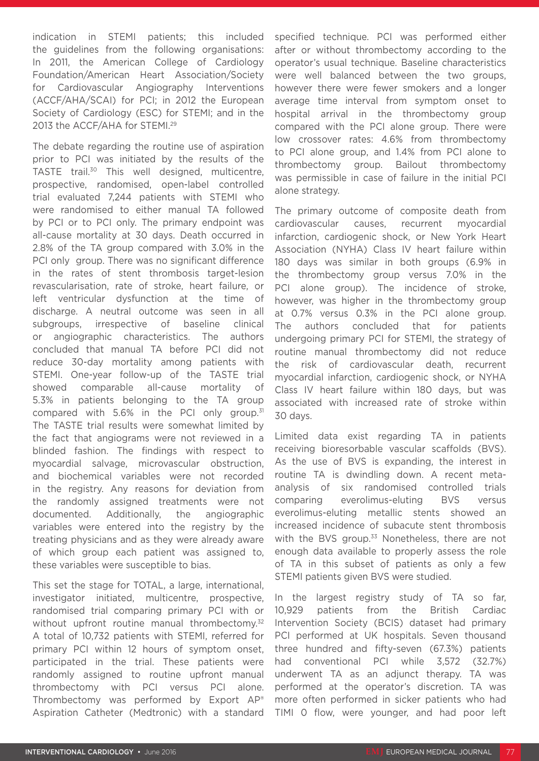indication in STEMI patients; this included the guidelines from the following organisations: In 2011, the American College of Cardiology Foundation/American Heart Association/Society for Cardiovascular Angiography Interventions (ACCF/AHA/SCAI) for PCI; in 2012 the European Society of Cardiology (ESC) for STEMI; and in the 2013 the ACCF/AHA for STEMI.29

The debate regarding the routine use of aspiration prior to PCI was initiated by the results of the TASTE trail.30 This well designed, multicentre, prospective, randomised, open-label controlled trial evaluated 7,244 patients with STEMI who were randomised to either manual TA followed by PCI or to PCI only. The primary endpoint was all-cause mortality at 30 days. Death occurred in 2.8% of the TA group compared with 3.0% in the PCI only group. There was no significant difference in the rates of stent thrombosis target-lesion revascularisation, rate of stroke, heart failure, or left ventricular dysfunction at the time of discharge. A neutral outcome was seen in all subgroups, irrespective of baseline clinical angiographic characteristics. The authors concluded that manual TA before PCI did not reduce 30-day mortality among patients with STEMI. One-year follow-up of the TASTE trial showed comparable all-cause mortality of 5.3% in patients belonging to the TA group compared with  $5.6\%$  in the PCI only group.<sup>31</sup> The TASTE trial results were somewhat limited by the fact that angiograms were not reviewed in a blinded fashion. The findings with respect to myocardial salvage, microvascular obstruction, and biochemical variables were not recorded in the registry. Any reasons for deviation from the randomly assigned treatments were not documented. Additionally, the angiographic variables were entered into the registry by the treating physicians and as they were already aware of which group each patient was assigned to, these variables were susceptible to bias.

This set the stage for TOTAL, a large, international, investigator initiated, multicentre, prospective, randomised trial comparing primary PCI with or without upfront routine manual thrombectomy.<sup>32</sup> A total of 10,732 patients with STEMI, referred for primary PCI within 12 hours of symptom onset, participated in the trial. These patients were randomly assigned to routine upfront manual thrombectomy with PCI versus PCI alone. Thrombectomy was performed by Export AP® Aspiration Catheter (Medtronic) with a standard

specified technique. PCI was performed either after or without thrombectomy according to the operator's usual technique. Baseline characteristics were well balanced between the two groups, however there were fewer smokers and a longer average time interval from symptom onset to hospital arrival in the thrombectomy group compared with the PCI alone group. There were low crossover rates: 4.6% from thrombectomy to PCI alone group, and 1.4% from PCI alone to thrombectomy group. Bailout thrombectomy was permissible in case of failure in the initial PCI alone strategy.

The primary outcome of composite death from cardiovascular causes, recurrent myocardial infarction, cardiogenic shock, or New York Heart Association (NYHA) Class IV heart failure within 180 days was similar in both groups (6.9% in the thrombectomy group versus 7.0% in the PCI alone group). The incidence of stroke, however, was higher in the thrombectomy group at 0.7% versus 0.3% in the PCI alone group. The authors concluded that for patients undergoing primary PCI for STEMI, the strategy of routine manual thrombectomy did not reduce the risk of cardiovascular death, recurrent myocardial infarction, cardiogenic shock, or NYHA Class IV heart failure within 180 days, but was associated with increased rate of stroke within 30 days.

Limited data exist regarding TA in patients receiving bioresorbable vascular scaffolds (BVS). As the use of BVS is expanding, the interest in routine TA is dwindling down. A recent metaanalysis of six randomised controlled trials comparing everolimus-eluting BVS versus everolimus-eluting metallic stents showed an increased incidence of subacute stent thrombosis with the BVS group.<sup>33</sup> Nonetheless, there are not enough data available to properly assess the role of TA in this subset of patients as only a few STEMI patients given BVS were studied.

In the largest registry study of TA so far, 10,929 patients from the British Cardiac Intervention Society (BCIS) dataset had primary PCI performed at UK hospitals. Seven thousand three hundred and fifty-seven (67.3%) patients had conventional PCI while 3,572 (32.7%) underwent TA as an adjunct therapy. TA was performed at the operator's discretion. TA was more often performed in sicker patients who had TIMI 0 flow, were younger, and had poor left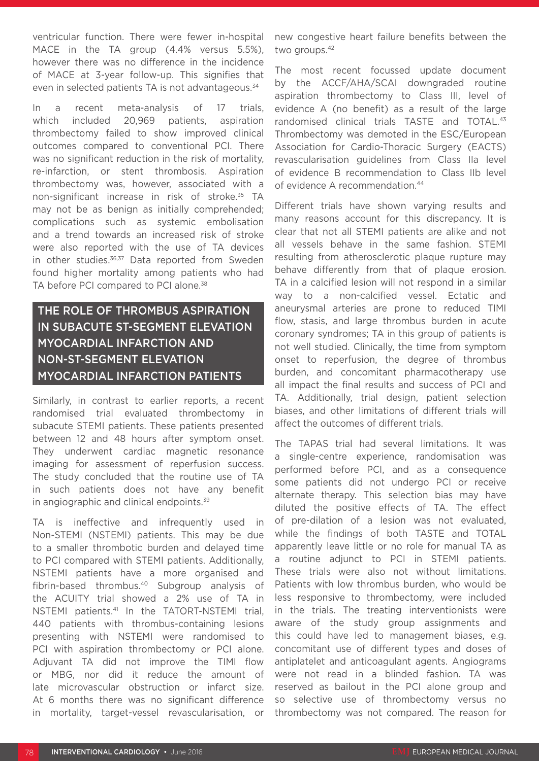ventricular function. There were fewer in-hospital MACE in the TA group (4.4% versus 5.5%), however there was no difference in the incidence of MACE at 3-year follow-up. This signifies that even in selected patients TA is not advantageous.<sup>34</sup>

In a recent meta-analysis of 17 trials, which included 20,969 patients, aspiration thrombectomy failed to show improved clinical outcomes compared to conventional PCI. There was no significant reduction in the risk of mortality. re-infarction, or stent thrombosis. Aspiration thrombectomy was, however, associated with a non-significant increase in risk of stroke.<sup>35</sup> TA may not be as benign as initially comprehended; complications such as systemic embolisation and a trend towards an increased risk of stroke were also reported with the use of TA devices in other studies.<sup>36,37</sup> Data reported from Sweden found higher mortality among patients who had TA before PCI compared to PCI alone.<sup>38</sup>

## THE ROLE OF THROMBUS ASPIRATION IN SUBACUTE ST-SEGMENT ELEVATION MYOCARDIAL INFARCTION AND NON-ST-SEGMENT ELEVATION MYOCARDIAL INFARCTION PATIENTS

Similarly, in contrast to earlier reports, a recent randomised trial evaluated thrombectomy in subacute STEMI patients. These patients presented between 12 and 48 hours after symptom onset. They underwent cardiac magnetic resonance imaging for assessment of reperfusion success. The study concluded that the routine use of TA in such patients does not have any benefit in angiographic and clinical endpoints.<sup>39</sup>

TA is ineffective and infrequently used in Non-STEMI (NSTEMI) patients. This may be due to a smaller thrombotic burden and delayed time to PCI compared with STEMI patients. Additionally, NSTEMI patients have a more organised and fibrin-based thrombus.40 Subgroup analysis of the ACUITY trial showed a 2% use of TA in NSTEMI patients.41 In the TATORT-NSTEMI trial, 440 patients with thrombus-containing lesions presenting with NSTEMI were randomised to PCI with aspiration thrombectomy or PCI alone. Adjuvant TA did not improve the TIMI flow or MBG, nor did it reduce the amount of late microvascular obstruction or infarct size. At 6 months there was no significant difference in mortality, target-vessel revascularisation, or

new congestive heart failure benefits between the two groups.42

The most recent focussed update document by the ACCF/AHA/SCAI downgraded routine aspiration thrombectomy to Class III, level of evidence A (no benefit) as a result of the large randomised clinical trials TASTE and TOTAL.<sup>43</sup> Thrombectomy was demoted in the ESC/European Association for Cardio-Thoracic Surgery (EACTS) revascularisation guidelines from Class IIa level of evidence B recommendation to Class IIb level of evidence A recommendation.44

Different trials have shown varying results and many reasons account for this discrepancy. It is clear that not all STEMI patients are alike and not all vessels behave in the same fashion. STEMI resulting from atherosclerotic plaque rupture may behave differently from that of plaque erosion. TA in a calcified lesion will not respond in a similar way to a non-calcified vessel. Ectatic and aneurysmal arteries are prone to reduced TIMI flow, stasis, and large thrombus burden in acute coronary syndromes; TA in this group of patients is not well studied. Clinically, the time from symptom onset to reperfusion, the degree of thrombus burden, and concomitant pharmacotherapy use all impact the final results and success of PCI and TA. Additionally, trial design, patient selection biases, and other limitations of different trials will affect the outcomes of different trials.

The TAPAS trial had several limitations. It was a single-centre experience, randomisation was performed before PCI, and as a consequence some patients did not undergo PCI or receive alternate therapy. This selection bias may have diluted the positive effects of TA. The effect of pre-dilation of a lesion was not evaluated, while the findings of both TASTE and TOTAL apparently leave little or no role for manual TA as a routine adjunct to PCI in STEMI patients. These trials were also not without limitations. Patients with low thrombus burden, who would be less responsive to thrombectomy, were included in the trials. The treating interventionists were aware of the study group assignments and this could have led to management biases, e.g. concomitant use of different types and doses of antiplatelet and anticoagulant agents. Angiograms were not read in a blinded fashion. TA was reserved as bailout in the PCI alone group and so selective use of thrombectomy versus no thrombectomy was not compared. The reason for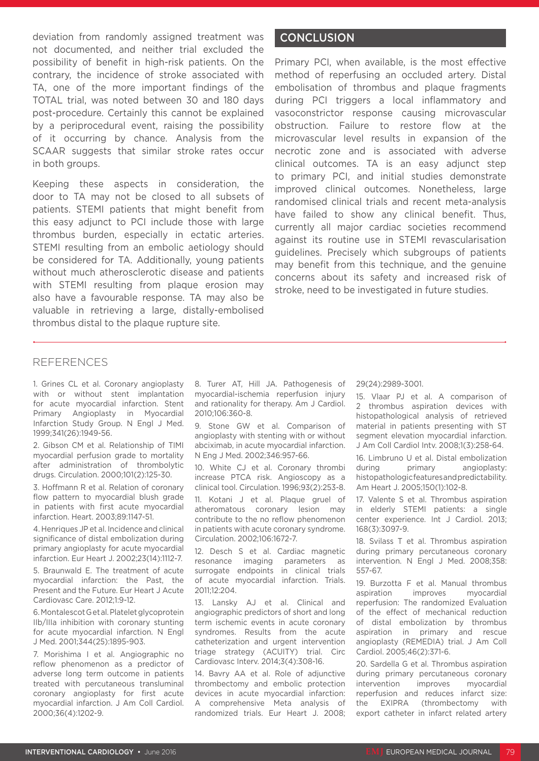deviation from randomly assigned treatment was not documented, and neither trial excluded the possibility of benefit in high-risk patients. On the contrary, the incidence of stroke associated with TA, one of the more important findings of the TOTAL trial, was noted between 30 and 180 days post-procedure. Certainly this cannot be explained by a periprocedural event, raising the possibility of it occurring by chance. Analysis from the SCAAR suggests that similar stroke rates occur in both groups.

Keeping these aspects in consideration, the door to TA may not be closed to all subsets of patients. STEMI patients that might benefit from this easy adjunct to PCI include those with large thrombus burden, especially in ectatic arteries. STEMI resulting from an embolic aetiology should be considered for TA. Additionally, young patients without much atherosclerotic disease and patients with STEMI resulting from plaque erosion may also have a favourable response. TA may also be valuable in retrieving a large, distally-embolised thrombus distal to the plaque rupture site.

#### **CONCLUSION**

Primary PCI, when available, is the most effective method of reperfusing an occluded artery. Distal embolisation of thrombus and plaque fragments during PCI triggers a local inflammatory and vasoconstrictor response causing microvascular obstruction. Failure to restore flow at the microvascular level results in expansion of the necrotic zone and is associated with adverse clinical outcomes. TA is an easy adjunct step to primary PCI, and initial studies demonstrate improved clinical outcomes. Nonetheless, large randomised clinical trials and recent meta-analysis have failed to show any clinical benefit. Thus, currently all major cardiac societies recommend against its routine use in STEMI revascularisation guidelines. Precisely which subgroups of patients may benefit from this technique, and the genuine concerns about its safety and increased risk of stroke, need to be investigated in future studies.

#### REFERENCES

1. Grines CL et al. Coronary angioplasty with or without stent implantation for acute myocardial infarction. Stent Primary Angioplasty in Myocardial Infarction Study Group. N Engl J Med. 1999;341(26):1949-56.

2. Gibson CM et al. Relationship of TIMI myocardial perfusion grade to mortality after administration of thrombolytic drugs. Circulation. 2000;101(2):125-30.

3. Hoffmann R et al. Relation of coronary flow pattern to myocardial blush grade in patients with first acute myocardial infarction. Heart. 2003;89:1147-51.

4. Henriques JP et al. Incidence and clinical significance of distal embolization during primary angioplasty for acute myocardial infarction. Eur Heart J. 2002;23(14):1112-7.

5. Braunwald E. The treatment of acute myocardial infarction: the Past, the Present and the Future. Eur Heart J Acute Cardiovasc Care. 2012;1:9-12.

6. Montalescot G et al. Platelet glycoprotein IIb/IIIa inhibition with coronary stunting for acute myocardial infarction. N Engl J Med. 2001;344(25):1895-903.

7. Morishima I et al. Angiographic no reflow phenomenon as a predictor of adverse long term outcome in patients treated with percutaneous transluminal coronary angioplasty for first acute myocardial infarction. J Am Coll Cardiol. 2000;36(4):1202-9.

8. Turer AT, Hill JA. Pathogenesis of myocardial-ischemia reperfusion injury and rationality for therapy. Am J Cardiol. 2010;106:360-8.

9. Stone GW et al. Comparison of angioplasty with stenting with or without abciximab, in acute myocardial infarction. N Eng J Med. 2002;346:957-66.

10. White CJ et al. Coronary thrombi increase PTCA risk. Angioscopy as a clinical tool. Circulation. 1996;93(2):253-8.

11. Kotani J et al. Plaque gruel of atheromatous coronary lesion may contribute to the no reflow phenomenon in patients with acute coronary syndrome. Circulation. 2002;106:1672-7.

12. Desch S et al. Cardiac magnetic resonance imaging parameters as surrogate endpoints in clinical trials of acute myocardial infarction. Trials. 2011;12:204.

13. Lansky AJ et al. Clinical and angiographic predictors of short and long term ischemic events in acute coronary syndromes. Results from the acute catheterization and urgent intervention triage strategy (ACUITY) trial. Circ Cardiovasc Interv. 2014;3(4):308-16.

14. Bavry AA et al. Role of adjunctive thrombectomy and embolic protection devices in acute myocardial infarction: A comprehensive Meta analysis of randomized trials. Eur Heart J. 2008;

29(24):2989-3001.

15. Vlaar PJ et al. A comparison of 2 thrombus aspiration devices with histopathological analysis of retrieved material in patients presenting with ST segment elevation myocardial infarction. J Am Coll Cardiol Intv. 2008;1(3):258-64.

16. Limbruno U et al. Distal embolization during primary angioplasty: histopathologic features and predictability. Am Heart J. 2005;150(1):102-8.

17. Valente S et al. Thrombus aspiration in elderly STEMI patients: a single center experience. Int J Cardiol. 2013; 168(3):3097-9.

18. Svilass T et al. Thrombus aspiration during primary percutaneous coronary intervention. N Engl J Med. 2008;358: 557-67.

19. Burzotta F et al. Manual thrombus aspiration improves myocardial reperfusion: The randomized Evaluation of the effect of mechanical reduction of distal embolization by thrombus aspiration in primary and rescue angioplasty (REMEDIA) trial. J Am Coll Cardiol. 2005;46(2):371-6.

20. Sardella G et al. Thrombus aspiration during primary percutaneous coronary intervention improves myocardial reperfusion and reduces infarct size: the EXIPRA (thrombectomy with export catheter in infarct related artery